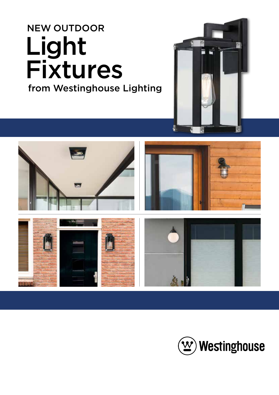## NEW OUTDOOR Light Fixtures from Westinghouse Lighting





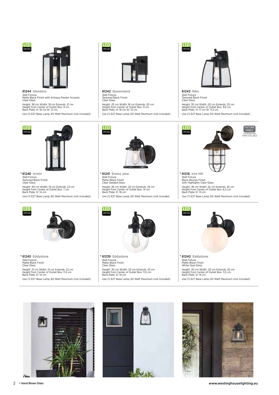



61244 Glendora Wall Fixture Matte Black Finish with Antique Pewter Accents Clear Glass

Height: 38 cm Width: 18 cm Extends: 21 cm Height from Center of Outlet Box: 9 cm Back Plate: H: 18 cm W: 12 cm

Use (1) E27 Base Lamp, 60 Watt Maximum (not included)





61242 Queensland Wall Fixture Textured Black Finish Clear Glass Height: 25 cm Width: 18 cm Extends: 20 cm Height from Center of Outlet Box: 9 cm Back Plate: H: 18 cm W: 12 cm Use (1) E27 Base Lamp, 60 Watt Maximum (not included)



61243 Niko Wall Fixture Textured Black Finish Clear Glass Height: 35 cm Width: 20 cm Extends: 23 cm Height from Center of Outlet Box: 9,5 cm Back Plate: H: 17 cm W: 11,5 cm Use (1) E27 Base Lamp, 60 Watt Maximum (not included)



61246 Armin • Wall Fixture Textured Black Finish Clear Glass Height: 40 cm Width: 19 cm Extends: 23 cm Height from Center of Outlet Box: 7 cm Back Plate: D: 14 cm Use (1) E27 Base Lamp, 60 Watt Maximum (not included)



61241 Emma Jane • • Wall Fixture Matte Black Finish Clear Seeded Glass Height: 26 cm Width: 20 cm Extends: 25 cm Height from Center of Outlet Box: 14 cm Back Plate: D: 16 cm Use (1) E27 Base Lamp, 60 Watt Maximum (not included



Wall Fixture Black-Bronze Finish with Highlights Clear Glass Height: 38 cm Width: 22 cm Extends: 25 cm Height from Center of Outlet Box: 6,5 cm Back Plate: D: 13 cm Use (1) E27 Base Lamp, 60 Watt Maximum (not included)



61245 Eddystone Wall Fixture Matte Black Finish Clear Glass Height: 21 cm Width: 15 cm Extends: 22 cm Height from Center of Outlet Box: 11,5 cm Back Plate: D: 14 cm Use (1) E27 Base Lamp, 60 Watt Maximum (not included) 61239 Eddystone • • •



Wall Fixture Matte Black Finish Clear Glass Height: 30 cm Width: 20 cm Extends: 25 cm Height from Center of Outlet Box: 11,5 cm Back Plate: D: 14 cm

Use (1) E27 Base Lamp, 60 Watt Maximum (not included)



Wall Fixture Matte Black Finish White Opal Glass Height: 30 cm Width: 20 cm Extends: 25 cm Height from Center of Outlet Box: 11,5 cm Back Plate: D: 14 cm Use (1) E27 Base Lamp, 60 Watt Maximum (not included)





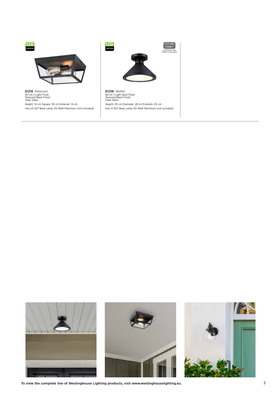



To view the complete line of Westinghouse Lighting products, visit www.westinghouselighting.eu. 3